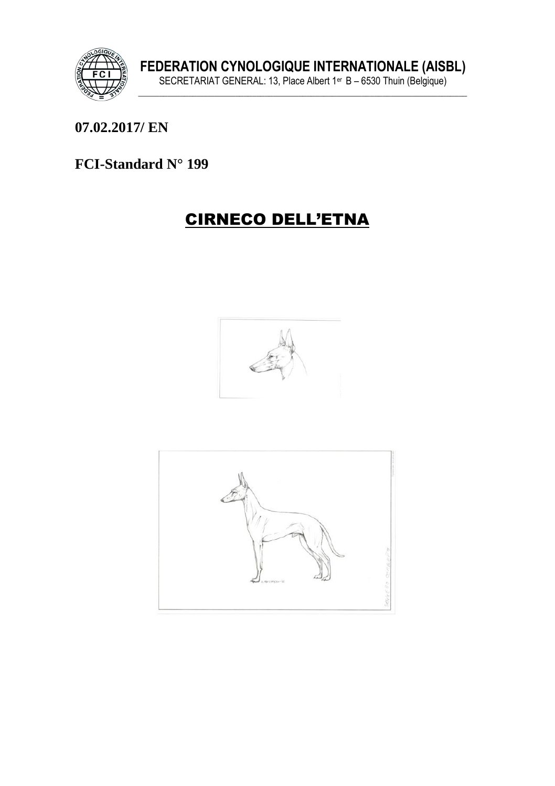

07.02.2017/ EN

# FCI-Standard N° 199

# **CIRNECO DELL'ETNA**



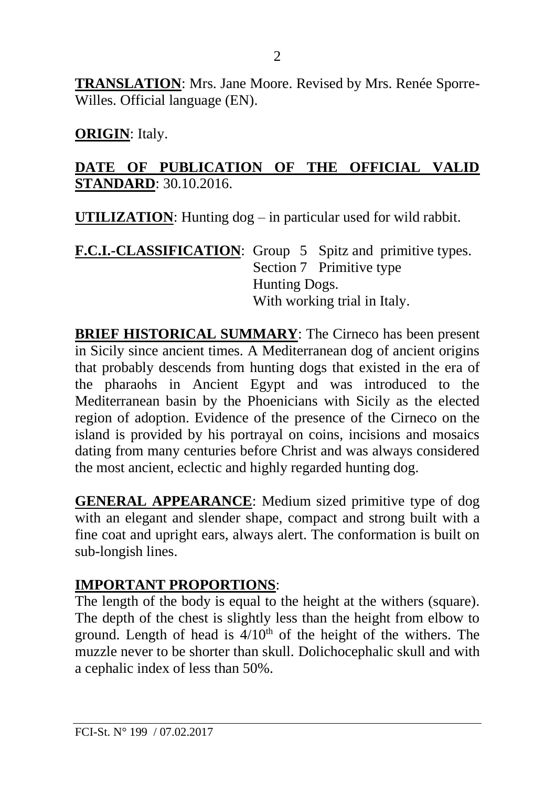**TRANSLATION**: Mrs. Jane Moore. Revised by Mrs. Renée Sporre-Willes. Official language (EN).

**ORIGIN**: Italy.

#### **DATE OF PUBLICATION OF THE OFFICIAL VALID STANDARD**: 30.10.2016.

**UTILIZATION**: Hunting dog – in particular used for wild rabbit.

**F.C.I.-CLASSIFICATION**: Group 5 Spitz and primitive types. Section 7 Primitive type Hunting Dogs. With working trial in Italy.

**BRIEF HISTORICAL SUMMARY**: The Cirneco has been present in Sicily since ancient times. A Mediterranean dog of ancient origins that probably descends from hunting dogs that existed in the era of the pharaohs in Ancient Egypt and was introduced to the Mediterranean basin by the Phoenicians with Sicily as the elected region of adoption. Evidence of the presence of the Cirneco on the island is provided by his portrayal on coins, incisions and mosaics dating from many centuries before Christ and was always considered the most ancient, eclectic and highly regarded hunting dog.

**GENERAL APPEARANCE**: Medium sized primitive type of dog with an elegant and slender shape, compact and strong built with a fine coat and upright ears, always alert. The conformation is built on sub-longish lines.

#### **IMPORTANT PROPORTIONS**:

The length of the body is equal to the height at the withers (square). The depth of the chest is slightly less than the height from elbow to ground. Length of head is  $4/10<sup>th</sup>$  of the height of the withers. The muzzle never to be shorter than skull. Dolichocephalic skull and with a cephalic index of less than 50%.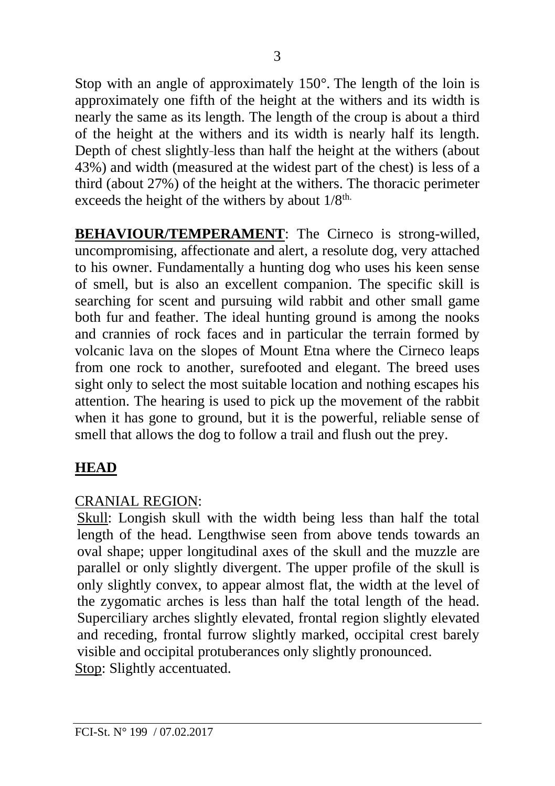Stop with an angle of approximately 150°. The length of the loin is approximately one fifth of the height at the withers and its width is nearly the same as its length. The length of the croup is about a third of the height at the withers and its width is nearly half its length. Depth of chest slightly less than half the height at the withers (about 43%) and width (measured at the widest part of the chest) is less of a third (about 27%) of the height at the withers. The thoracic perimeter exceeds the height of the withers by about  $1/8<sup>th</sup>$ .

**BEHAVIOUR/TEMPERAMENT:** The Cirneco is strong-willed, uncompromising, affectionate and alert, a resolute dog, very attached to his owner. Fundamentally a hunting dog who uses his keen sense of smell, but is also an excellent companion. The specific skill is searching for scent and pursuing wild rabbit and other small game both fur and feather. The ideal hunting ground is among the nooks and crannies of rock faces and in particular the terrain formed by volcanic lava on the slopes of Mount Etna where the Cirneco leaps from one rock to another, surefooted and elegant. The breed uses sight only to select the most suitable location and nothing escapes his attention. The hearing is used to pick up the movement of the rabbit when it has gone to ground, but it is the powerful, reliable sense of smell that allows the dog to follow a trail and flush out the prey.

# **HEAD**

# CRANIAL REGION:

Skull: Longish skull with the width being less than half the total length of the head. Lengthwise seen from above tends towards an oval shape; upper longitudinal axes of the skull and the muzzle are parallel or only slightly divergent. The upper profile of the skull is only slightly convex, to appear almost flat, the width at the level of the zygomatic arches is less than half the total length of the head. Superciliary arches slightly elevated, frontal region slightly elevated and receding, frontal furrow slightly marked, occipital crest barely visible and occipital protuberances only slightly pronounced. Stop: Slightly accentuated.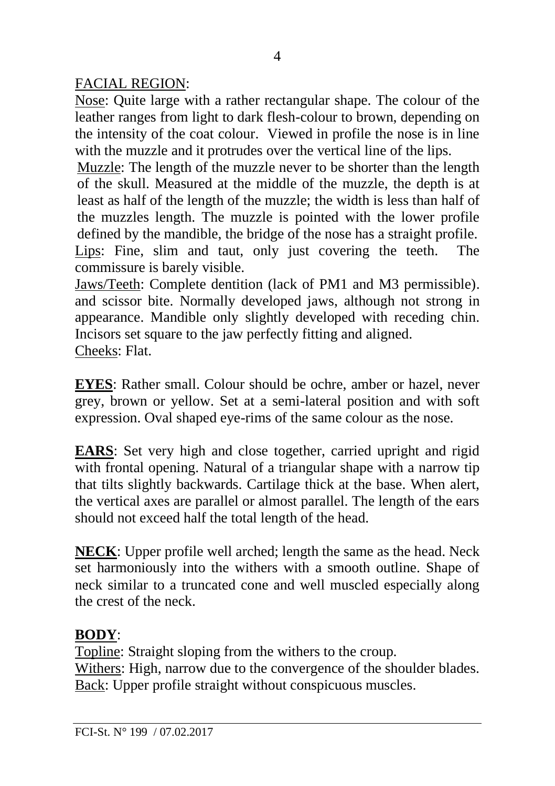FACIAL REGION:

Nose: Quite large with a rather rectangular shape. The colour of the leather ranges from light to dark flesh-colour to brown, depending on the intensity of the coat colour. Viewed in profile the nose is in line with the muzzle and it protrudes over the vertical line of the lips.

Muzzle: The length of the muzzle never to be shorter than the length of the skull. Measured at the middle of the muzzle, the depth is at least as half of the length of the muzzle; the width is less than half of the muzzles length. The muzzle is pointed with the lower profile defined by the mandible, the bridge of the nose has a straight profile. Lips: Fine, slim and taut, only just covering the teeth. The commissure is barely visible.

Jaws/Teeth: Complete dentition (lack of PM1 and M3 permissible). and scissor bite. Normally developed jaws, although not strong in appearance. Mandible only slightly developed with receding chin. Incisors set square to the jaw perfectly fitting and aligned. Cheeks: Flat.

**EYES**: Rather small. Colour should be ochre, amber or hazel, never grey, brown or yellow. Set at a semi-lateral position and with soft expression. Oval shaped eye-rims of the same colour as the nose.

**EARS**: Set very high and close together, carried upright and rigid with frontal opening. Natural of a triangular shape with a narrow tip that tilts slightly backwards. Cartilage thick at the base. When alert, the vertical axes are parallel or almost parallel. The length of the ears should not exceed half the total length of the head.

**NECK**: Upper profile well arched; length the same as the head. Neck set harmoniously into the withers with a smooth outline. Shape of neck similar to a truncated cone and well muscled especially along the crest of the neck.

# **BODY**:

Topline: Straight sloping from the withers to the croup. Withers: High, narrow due to the convergence of the shoulder blades. Back: Upper profile straight without conspicuous muscles.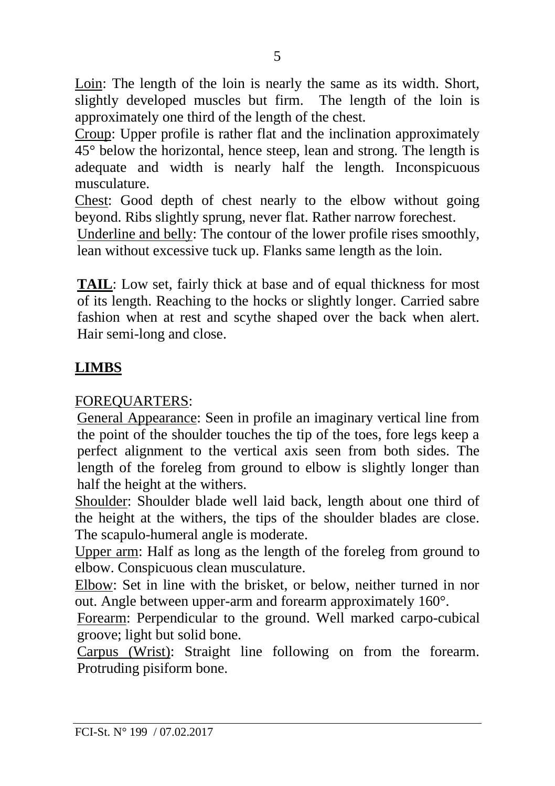Loin: The length of the loin is nearly the same as its width. Short, slightly developed muscles but firm. The length of the loin is approximately one third of the length of the chest.

Croup: Upper profile is rather flat and the inclination approximately 45° below the horizontal, hence steep, lean and strong. The length is adequate and width is nearly half the length. Inconspicuous musculature.

Chest: Good depth of chest nearly to the elbow without going beyond. Ribs slightly sprung, never flat. Rather narrow forechest.

Underline and belly: The contour of the lower profile rises smoothly, lean without excessive tuck up. Flanks same length as the loin.

**TAIL**: Low set, fairly thick at base and of equal thickness for most of its length. Reaching to the hocks or slightly longer. Carried sabre fashion when at rest and scythe shaped over the back when alert. Hair semi-long and close.

# **LIMBS**

#### FOREQUARTERS:

General Appearance: Seen in profile an imaginary vertical line from the point of the shoulder touches the tip of the toes, fore legs keep a perfect alignment to the vertical axis seen from both sides. The length of the foreleg from ground to elbow is slightly longer than half the height at the withers.

Shoulder: Shoulder blade well laid back, length about one third of the height at the withers, the tips of the shoulder blades are close. The scapulo-humeral angle is moderate.

Upper arm: Half as long as the length of the foreleg from ground to elbow. Conspicuous clean musculature.

Elbow: Set in line with the brisket, or below, neither turned in nor out. Angle between upper-arm and forearm approximately 160°.

Forearm: Perpendicular to the ground. Well marked carpo-cubical groove; light but solid bone.

Carpus (Wrist): Straight line following on from the forearm. Protruding pisiform bone.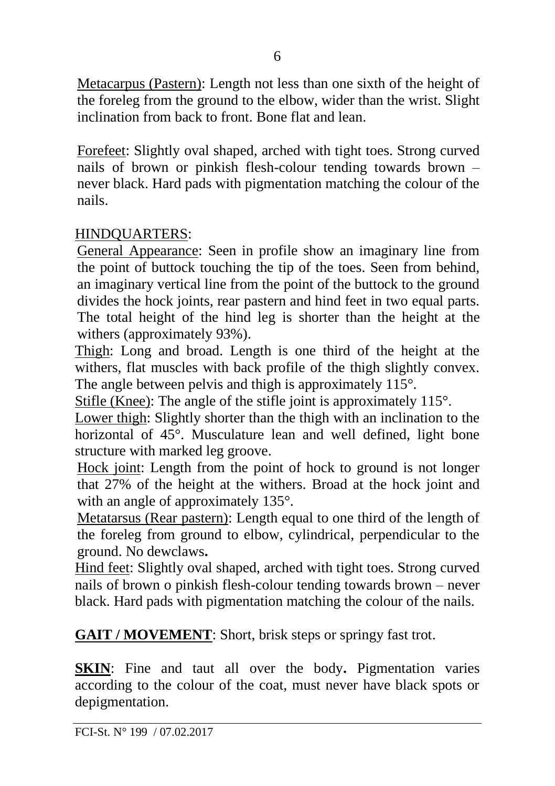Metacarpus (Pastern): Length not less than one sixth of the height of the foreleg from the ground to the elbow, wider than the wrist. Slight inclination from back to front. Bone flat and lean.

Forefeet: Slightly oval shaped, arched with tight toes. Strong curved nails of brown or pinkish flesh-colour tending towards brown – never black. Hard pads with pigmentation matching the colour of the nails.

#### HINDQUARTERS:

General Appearance: Seen in profile show an imaginary line from the point of buttock touching the tip of the toes. Seen from behind, an imaginary vertical line from the point of the buttock to the ground divides the hock joints, rear pastern and hind feet in two equal parts. The total height of the hind leg is shorter than the height at the withers (approximately 93%).

Thigh: Long and broad. Length is one third of the height at the withers, flat muscles with back profile of the thigh slightly convex. The angle between pelvis and thigh is approximately 115°.

Stifle (Knee): The angle of the stifle joint is approximately 115°.

Lower thigh: Slightly shorter than the thigh with an inclination to the horizontal of 45°. Musculature lean and well defined, light bone structure with marked leg groove.

Hock joint: Length from the point of hock to ground is not longer that 27% of the height at the withers. Broad at the hock joint and with an angle of approximately 135°.

Metatarsus (Rear pastern): Length equal to one third of the length of the foreleg from ground to elbow, cylindrical, perpendicular to the ground. No dewclaws**.**

Hind feet: Slightly oval shaped, arched with tight toes. Strong curved nails of brown o pinkish flesh-colour tending towards brown – never black. Hard pads with pigmentation matching the colour of the nails.

**GAIT / MOVEMENT**: Short, brisk steps or springy fast trot.

**SKIN**: Fine and taut all over the body**.** Pigmentation varies according to the colour of the coat, must never have black spots or depigmentation.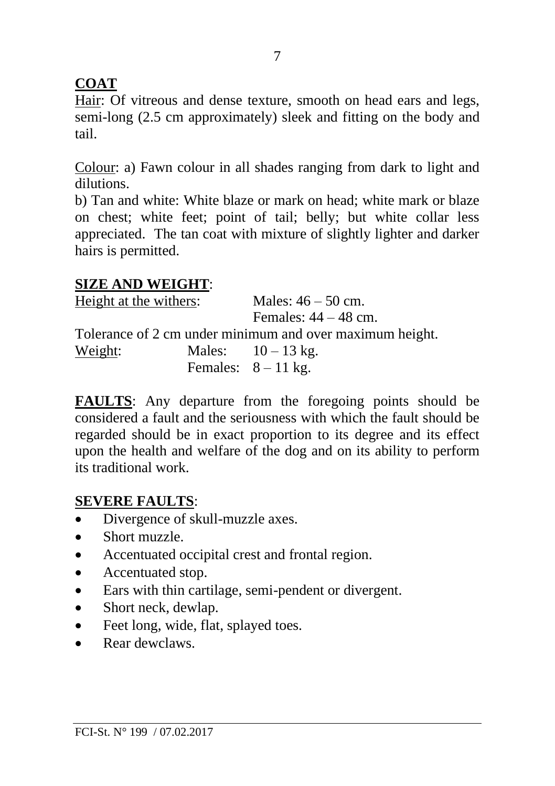# **COAT**

Hair: Of vitreous and dense texture, smooth on head ears and legs, semi-long (2.5 cm approximately) sleek and fitting on the body and tail.

Colour: a) Fawn colour in all shades ranging from dark to light and dilutions.

b) Tan and white: White blaze or mark on head; white mark or blaze on chest; white feet; point of tail; belly; but white collar less appreciated. The tan coat with mixture of slightly lighter and darker hairs is permitted.

# **SIZE AND WEIGHT**:

| Height at the withers: | Males: $46 - 50$ cm.                                     |
|------------------------|----------------------------------------------------------|
|                        | Females: $44 - 48$ cm.                                   |
|                        | Tolerance of 2 cm under minimum and over maximum height. |
| Weight:                | Males: $10 - 13$ kg.                                     |
|                        | Females: $8-11$ kg.                                      |

**FAULTS**: Any departure from the foregoing points should be considered a fault and the seriousness with which the fault should be regarded should be in exact proportion to its degree and its effect upon the health and welfare of the dog and on its ability to perform its traditional work.

### **SEVERE FAULTS**:

- Divergence of skull-muzzle axes.
- Short muzzle.
- Accentuated occipital crest and frontal region.
- Accentuated stop.
- Ears with thin cartilage, semi-pendent or divergent.
- Short neck, dewlap.
- Feet long, wide, flat, splayed toes.
- Rear dewclaws.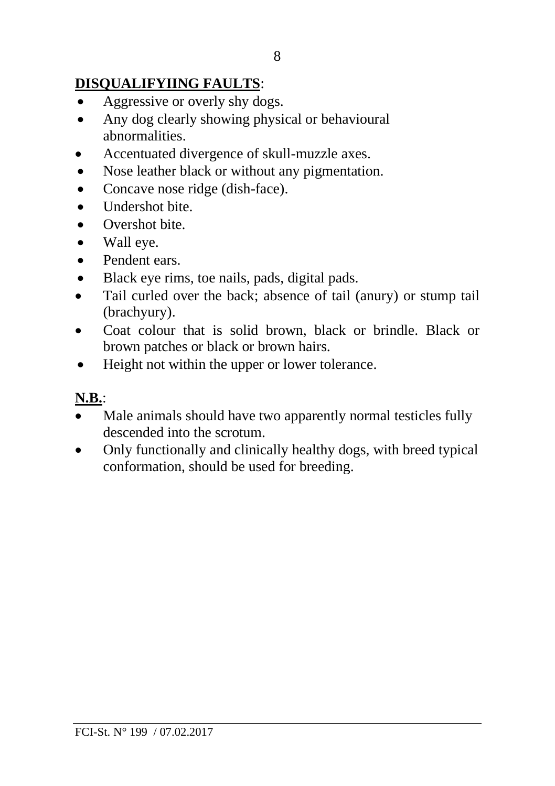## **DISQUALIFYIING FAULTS**:

- Aggressive or overly shy dogs.
- Any dog clearly showing physical or behavioural abnormalities.
- Accentuated divergence of skull-muzzle axes.
- Nose leather black or without any pigmentation.
- Concave nose ridge (dish-face).
- Undershot bite.
- Overshot bite.
- Wall eve.
- Pendent ears.
- Black eye rims, toe nails, pads, digital pads.
- Tail curled over the back; absence of tail (anury) or stump tail (brachyury).
- Coat colour that is solid brown, black or brindle. Black or brown patches or black or brown hairs.
- Height not within the upper or lower tolerance.

### **N.B.**:

- Male animals should have two apparently normal testicles fully descended into the scrotum.
- Only functionally and clinically healthy dogs, with breed typical conformation, should be used for breeding.